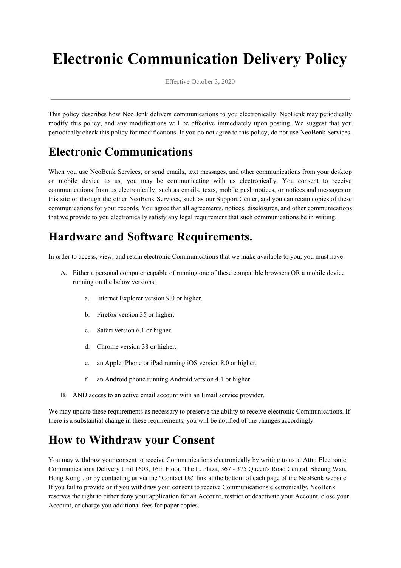# **Electronic Communication Delivery Policy**

Effective October 3, 2020

This policy describes how NeoBenk delivers communications to you electronically. NeoBenk may periodically modify this policy, and any modifications will be effective immediately upon posting. We suggest that you periodically check this policy for modifications. If you do not agree to this policy, do not use NeoBenk Services.

## **Electronic Communications**

When you use NeoBenk Services, or send emails, text messages, and other communications from your desktop or mobile device to us, you may be communicating with us electronically. You consent to receive communications from us electronically, such as emails, texts, mobile push notices, or notices and messages on this site or through the other NeoBenk Services, such as our Support Center, and you can retain copies of these communications for your records. You agree that all agreements, notices, disclosures, and other communications that we provide to you electronically satisfy any legal requirement that such communications be in writing.

## **Hardware and Software Requirements.**

In order to access, view, and retain electronic Communications that we make available to you, you must have:

- A. Either a personal computer capable of running one of these compatible browsers OR a mobile device running on the below versions:
	- a. Internet Explorer version 9.0 or higher.
	- b. Firefox version 35 or higher.
	- c. Safari version 6.1 or higher.
	- d. Chrome version 38 or higher.
	- e. an Apple iPhone or iPad running iOS version 8.0 or higher.
	- f. an Android phone running Android version 4.1 or higher.
- B. AND access to an active email account with an Email service provider.

We may update these requirements as necessary to preserve the ability to receive electronic Communications. If there is a substantial change in these requirements, you will be notified of the changes accordingly.

#### **How to Withdraw your Consent**

You may withdraw your consent to receive Communications electronically by writing to us at Attn: Electronic Communications Delivery Unit 1603, 16th Floor, The L. Plaza, 367 - 375 Queen's Road Central, Sheung Wan, Hong Kong", or by contacting us via the "Contact Us" link at the bottom of each page of the NeoBenk website. If you fail to provide or if you withdraw your consent to receive Communications electronically, NeoBenk reserves the right to either deny your application for an Account, restrict or deactivate your Account, close your Account, or charge you additional fees for paper copies.